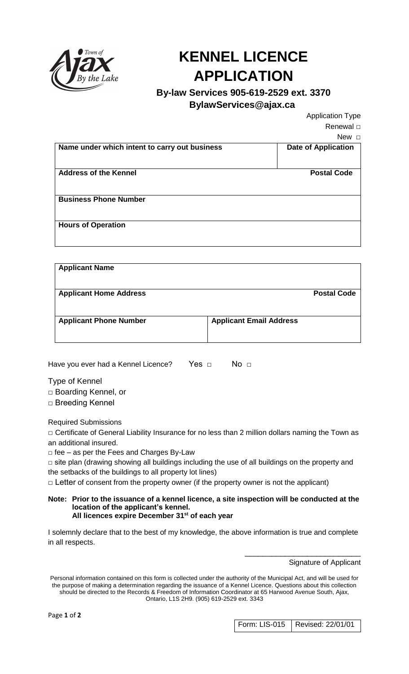

## **KENNEL LICENCE APPLICATION**

## **By-law Services 905-619-2529 ext. 3370**

 **BylawServices@ajax.ca**

Application Type Renewal □

 $N_{\text{out}}$  =

|                                               | INEW ∟                     |
|-----------------------------------------------|----------------------------|
| Name under which intent to carry out business | <b>Date of Application</b> |
| <b>Address of the Kennel</b>                  | <b>Postal Code</b>         |
| <b>Business Phone Number</b>                  |                            |
| <b>Hours of Operation</b>                     |                            |
|                                               |                            |

| <b>Applicant Name</b>         |                                |                    |
|-------------------------------|--------------------------------|--------------------|
| <b>Applicant Home Address</b> |                                | <b>Postal Code</b> |
| <b>Applicant Phone Number</b> | <b>Applicant Email Address</b> |                    |

Have you ever had a Kennel Licence? Yes □ No □

Type of Kennel □ Boarding Kennel, or □ Breeding Kennel

Required Submissions

□ Certificate of General Liability Insurance for no less than 2 million dollars naming the Town as an additional insured.

□ fee – as per the Fees and Charges By-Law

 $\square$  site plan (drawing showing all buildings including the use of all buildings on the property and the setbacks of the buildings to all property lot lines)

 $\Box$  Letter of consent from the property owner (if the property owner is not the applicant)

## **Note: Prior to the issuance of a kennel licence, a site inspection will be conducted at the location of the applicant's kennel. All licences expire December 31st of each year**

I solemnly declare that to the best of my knowledge, the above information is true and complete in all respects.

Signature of Applicant

Form: LIS-015 Revised: 22/01/01

\_\_\_\_\_\_\_\_\_\_\_\_\_\_\_\_\_\_\_\_\_\_\_\_\_\_

Personal information contained on this form is collected under the authority of the Municipal Act, and will be used for the purpose of making a determination regarding the issuance of a Kennel Licence. Questions about this collection should be directed to the Records & Freedom of Information Coordinator at 65 Harwood Avenue South, Ajax, Ontario, L1S 2H9. (905) 619-2529 ext. 3343